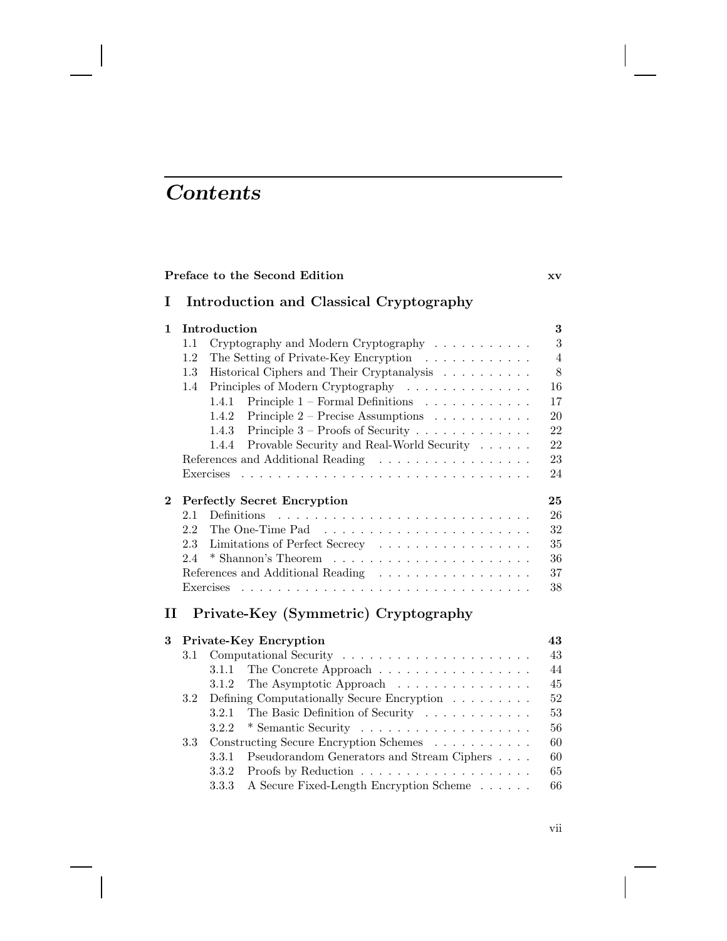# **Contents**

|              |                               | Preface to the Second Edition                                       | XV             |  |  |
|--------------|-------------------------------|---------------------------------------------------------------------|----------------|--|--|
| Ι            |                               | Introduction and Classical Cryptography                             |                |  |  |
| 1            |                               | Introduction                                                        | $\bf{3}$       |  |  |
|              | 1.1                           | Cryptography and Modern Cryptography $\ldots \ldots \ldots$         | 3              |  |  |
|              | 1.2                           | The Setting of Private-Key Encryption $\ldots \ldots \ldots \ldots$ | $\overline{4}$ |  |  |
|              | 1.3                           | Historical Ciphers and Their Cryptanalysis                          | $8\,$          |  |  |
|              | 1.4                           | Principles of Modern Cryptography                                   | 16             |  |  |
|              |                               | Principle $1$ – Formal Definitions<br>1.4.1                         | 17             |  |  |
|              |                               | Principle $2$ – Precise Assumptions<br>1.4.2                        | 20             |  |  |
|              |                               | Principle $3$ – Proofs of Security<br>1.4.3                         | 22             |  |  |
|              |                               | Provable Security and Real-World Security<br>1.4.4                  | 22             |  |  |
|              |                               | References and Additional Reading                                   | 23             |  |  |
|              |                               | Exercises                                                           | 24             |  |  |
| $\bf{2}$     |                               | <b>Perfectly Secret Encryption</b>                                  | 25             |  |  |
|              | 2.1                           | Definitions                                                         | 26             |  |  |
|              | 2.2                           |                                                                     | 32             |  |  |
|              | 2.3                           | Limitations of Perfect Secrecy                                      | $35\,$         |  |  |
|              | 2.4                           |                                                                     | 36             |  |  |
|              |                               | References and Additional Reading                                   | 37             |  |  |
|              |                               | Exercises                                                           | 38             |  |  |
|              |                               |                                                                     |                |  |  |
| $\mathbf{I}$ |                               | Private-Key (Symmetric) Cryptography                                |                |  |  |
| 3            | <b>Private-Key Encryption</b> |                                                                     |                |  |  |
|              | 3.1                           |                                                                     | 43             |  |  |
|              |                               | The Concrete Approach<br>3.1.1                                      | 44             |  |  |
|              |                               | 3.1.2<br>The Asymptotic Approach                                    | 45             |  |  |
|              | 3.2                           | Defining Computationally Secure Encryption                          | 52             |  |  |
|              |                               | 3.2.1<br>The Basic Definition of Security                           | $53\,$         |  |  |
|              |                               | 3.2.2                                                               | 56             |  |  |
|              | 3.3                           | Constructing Secure Encryption Schemes                              | 60             |  |  |
|              |                               | Pseudorandom Generators and Stream Ciphers<br>3.3.1                 | 60             |  |  |
|              |                               | 3.3.2                                                               | 65             |  |  |
|              |                               | A Secure Fixed-Length Encryption Scheme<br>3.3.3                    | 66             |  |  |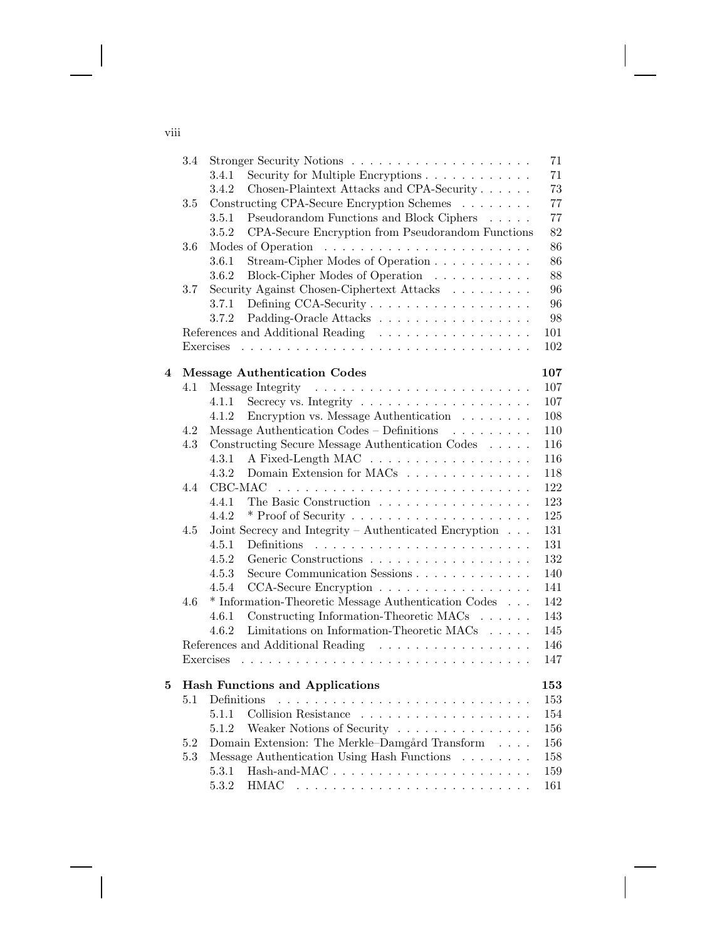|   | $3.4\,$ |                                                                         | 71  |
|---|---------|-------------------------------------------------------------------------|-----|
|   |         | Security for Multiple Encryptions<br>3.4.1                              | 71  |
|   |         | 3.4.2<br>Chosen-Plaintext Attacks and CPA-Security                      | 73  |
|   | 3.5     | Constructing CPA-Secure Encryption Schemes                              | 77  |
|   |         | Pseudorandom Functions and Block Ciphers<br>3.5.1                       | 77  |
|   |         | 3.5.2<br>CPA-Secure Encryption from Pseudorandom Functions              | 82  |
|   | 3.6     |                                                                         | 86  |
|   |         | Stream-Cipher Modes of Operation<br>3.6.1                               | 86  |
|   |         | 3.6.2<br>Block-Cipher Modes of Operation                                | 88  |
|   | 3.7     | Security Against Chosen-Ciphertext Attacks                              | 96  |
|   |         | Defining CCA-Security<br>3.7.1                                          | 96  |
|   |         | Padding-Oracle Attacks<br>3.7.2                                         | 98  |
|   |         | References and Additional Reading                                       | 101 |
|   |         | Exercises                                                               | 102 |
| 4 |         | <b>Message Authentication Codes</b>                                     | 107 |
|   | 4.1     | Message Integrity                                                       | 107 |
|   |         | 4.1.1                                                                   | 107 |
|   |         | Encryption vs. Message Authentication<br>4.1.2                          | 108 |
|   | 4.2     | Message Authentication Codes – Definitions $\ldots \ldots \ldots$       | 110 |
|   | 4.3     | Constructing Secure Message Authentication Codes                        | 116 |
|   |         | A Fixed-Length MAC<br>4.3.1                                             | 116 |
|   |         | Domain Extension for MACs<br>4.3.2                                      | 118 |
|   | 4.4     | CBC-MAC                                                                 | 122 |
|   |         | 4.4.1<br>The Basic Construction                                         | 123 |
|   |         | 4.4.2                                                                   | 125 |
|   | 4.5     | Joint Secrecy and Integrity – Authenticated Encryption                  | 131 |
|   |         | 4.5.1                                                                   | 131 |
|   |         | 4.5.2<br>Generic Constructions                                          | 132 |
|   |         | 4.5.3                                                                   | 140 |
|   |         | CCA-Secure Encryption<br>4.5.4                                          | 141 |
|   | 4.6     | * Information-Theoretic Message Authentication Codes                    | 142 |
|   |         | Constructing Information-Theoretic MACs<br>4.6.1                        | 143 |
|   |         | Limitations on Information-Theoretic MACs $\hfill\ldots\ldots$<br>4.6.2 | 145 |
|   |         | References and Additional Reading                                       | 146 |
|   |         | Exercises                                                               | 147 |
|   |         |                                                                         |     |
|   |         | Hash Functions and Applications                                         | 153 |
|   | $5.1\,$ | Definitions<br>$\mathbf{1}$                                             | 153 |
|   |         | 5.1.1                                                                   | 154 |
|   |         | Weaker Notions of Security<br>5.1.2                                     | 156 |
|   | 5.2     | Domain Extension: The Merkle-Damgård Transform                          | 156 |
|   | $5.3\,$ | Message Authentication Using Hash Functions                             | 158 |
|   |         | 5.3.1                                                                   | 159 |
|   |         | 5.3.2<br><b>HMAC</b>                                                    | 161 |

viii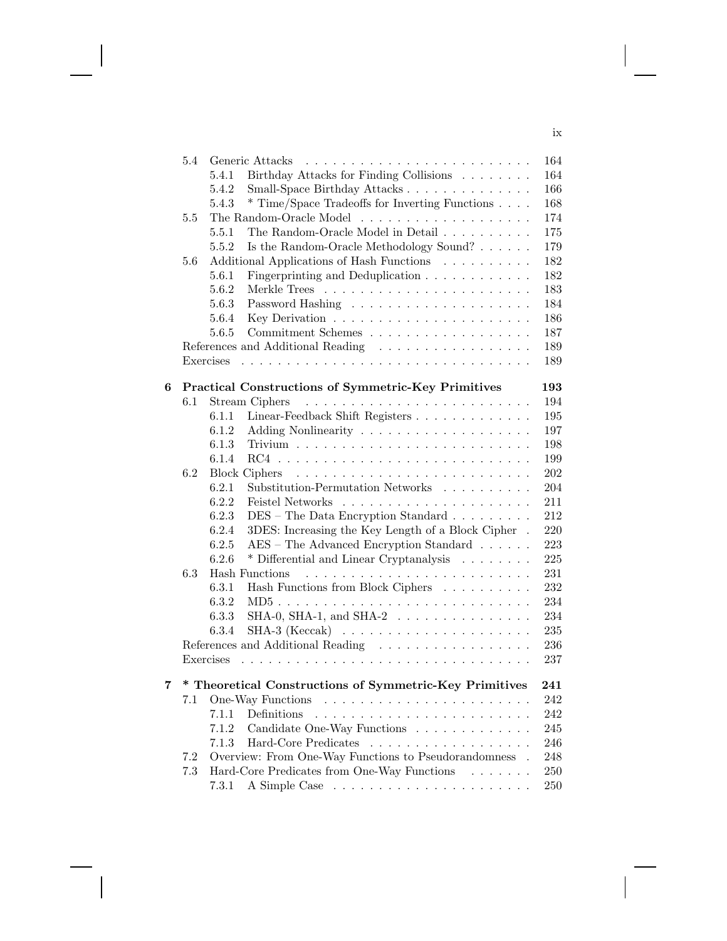|   | 5.4     |                                                                               | 164     |
|---|---------|-------------------------------------------------------------------------------|---------|
|   |         | Birthday Attacks for Finding Collisions<br>5.4.1                              | 164     |
|   |         | 5.4.2<br>Small-Space Birthday Attacks                                         | 166     |
|   |         | $^*$ Time/Space Tradeoffs for Inverting Functions<br>5.4.3                    | 168     |
|   | 5.5     |                                                                               | 174     |
|   |         | The Random-Oracle Model in Detail<br>5.5.1                                    | 175     |
|   |         | Is the Random-Oracle Methodology Sound?<br>5.5.2                              | 179     |
|   | 5.6     | Additional Applications of Hash Functions                                     | 182     |
|   |         | 5.6.1<br>Fingerprinting and Deduplication                                     | 182     |
|   |         | 5.6.2                                                                         | 183     |
|   |         | 5.6.3                                                                         | 184     |
|   |         | 5.6.4                                                                         | 186     |
|   |         | Commitment Schemes<br>5.6.5                                                   | 187     |
|   |         | References and Additional Reading $\ldots \ldots \ldots \ldots \ldots \ldots$ | 189     |
|   |         | Exercises                                                                     | 189     |
|   |         |                                                                               |         |
| 6 |         | <b>Practical Constructions of Symmetric-Key Primitives</b>                    | 193     |
|   | $6.1\,$ | Stream Ciphers                                                                | 194     |
|   |         | Linear-Feedback Shift Registers<br>6.1.1                                      | 195     |
|   |         | 6.1.2                                                                         | 197     |
|   |         | 6.1.3                                                                         | 198     |
|   |         | 6.1.4                                                                         | 199     |
|   | 6.2     | <b>Block Ciphers</b>                                                          | 202     |
|   |         | 6.2.1<br>Substitution-Permutation Networks                                    | 204     |
|   |         | 6.2.2                                                                         | 211     |
|   |         | 6.2.3<br>$DES$ – The Data Encryption Standard                                 | 212     |
|   |         | 6.2.4<br>3DES: Increasing the Key Length of a Block Cipher.                   | 220     |
|   |         | 6.2.5<br>$\text{AES}$ – The Advanced Encryption Standard                      | 223     |
|   |         | 6.2.6<br>* Differential and Linear Cryptanalysis $\ldots \ldots$              | $225\,$ |
|   | 6.3     | Hash Functions                                                                | 231     |
|   |         | Hash Functions from Block Ciphers $\hfill\ldots\ldots\ldots\ldots$<br>6.3.1   | 232     |
|   |         | 6.3.2                                                                         | 234     |
|   |         | SHA-0, SHA-1, and SHA-2 $\ldots \ldots \ldots \ldots \ldots$<br>6.3.3         | 234     |
|   |         | 6.3.4                                                                         | 235     |
|   |         | References and Additional Reading                                             | 236     |
|   |         | Exercises                                                                     | 237     |
|   |         |                                                                               |         |
| 7 |         | Theoretical Constructions of Symmetric-Key Primitives                         | 241     |
|   | 7.1     | One-Way Functions                                                             | 242     |
|   |         | 7.1.1<br>Definitions                                                          | 242     |
|   |         | Candidate One-Way Functions<br>7.1.2                                          | 245     |
|   |         | Hard-Core Predicates<br>7.1.3<br>.                                            | 246     |
|   | 7.2     | Overview: From One-Way Functions to Pseudorandomness                          | 248     |
|   | 7.3     | Hard-Core Predicates from One-Way Functions<br>$\sim$                         | 250     |
|   |         | 7.3.1                                                                         | 250     |

ix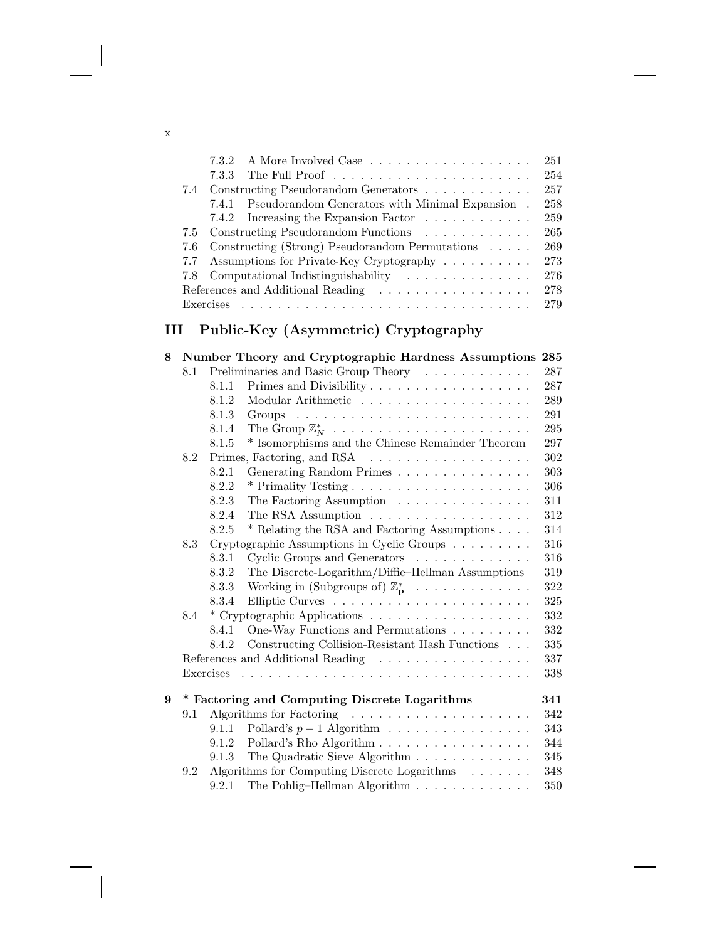|     | 251                                                               |
|-----|-------------------------------------------------------------------|
|     | 254                                                               |
| 7.4 | 257<br>Constructing Pseudorandom Generators                       |
|     | 7.4.1 Pseudorandom Generators with Minimal Expansion.<br>258      |
|     | 259<br>7.4.2 Increasing the Expansion Factor                      |
|     | 7.5 Constructing Pseudorandom Functions<br>265                    |
| 7.6 | Constructing (Strong) Pseudorandom Permutations $\ldots$ .<br>269 |
|     | 7.7 Assumptions for Private-Key Cryptography<br>273               |
|     | 276<br>7.8 Computational Indistinguishability                     |
|     | 278                                                               |
|     | 279                                                               |

### III Public-Key (Asymmetric) Cryptography

| 8 |                                          |           | Number Theory and Cryptographic Hardness Assumptions 285                  |     |  |  |  |
|---|------------------------------------------|-----------|---------------------------------------------------------------------------|-----|--|--|--|
|   | 8.1                                      |           | Preliminaries and Basic Group Theory                                      | 287 |  |  |  |
|   |                                          | 8.1.1     |                                                                           | 287 |  |  |  |
|   |                                          | 8.1.2     |                                                                           | 289 |  |  |  |
|   |                                          | 8.1.3     | Groups                                                                    | 291 |  |  |  |
|   |                                          | 8.1.4     | The Group $\mathbb{Z}_N^*$                                                | 295 |  |  |  |
|   |                                          | 8.1.5     | * Isomorphisms and the Chinese Remainder Theorem                          | 297 |  |  |  |
|   | 8.2                                      |           |                                                                           | 302 |  |  |  |
|   |                                          | 8.2.1     | Generating Random Primes                                                  | 303 |  |  |  |
|   |                                          | 8.2.2     |                                                                           | 306 |  |  |  |
|   |                                          | 8.2.3     | The Factoring Assumption                                                  | 311 |  |  |  |
|   |                                          | 8.2.4     | The RSA Assumption                                                        | 312 |  |  |  |
|   |                                          | 8.2.5     | $^*$ Relating the RSA and Factoring Assumptions                           | 314 |  |  |  |
|   | 8.3                                      |           | Cryptographic Assumptions in Cyclic Groups                                | 316 |  |  |  |
|   |                                          | 8.3.1     | Cyclic Groups and Generators                                              | 316 |  |  |  |
|   |                                          | 8.3.2     | The Discrete-Logarithm/Diffie-Hellman Assumptions                         | 319 |  |  |  |
|   |                                          | 8.3.3     | Working in (Subgroups of) $\mathbb{Z}_p^*$                                | 322 |  |  |  |
|   |                                          | 8.3.4     |                                                                           | 325 |  |  |  |
|   | 8.4                                      |           | * Cryptographic Applications $\dots \dots \dots \dots \dots \dots \dots$  | 332 |  |  |  |
|   |                                          | 8.4.1     |                                                                           | 332 |  |  |  |
|   |                                          | 8.4.2     | Constructing Collision-Resistant Hash Functions                           | 335 |  |  |  |
|   | References and Additional Reading<br>337 |           |                                                                           |     |  |  |  |
|   |                                          | Exercises |                                                                           | 338 |  |  |  |
| 9 |                                          |           | * Factoring and Computing Discrete Logarithms                             | 341 |  |  |  |
|   | 9.1                                      |           |                                                                           | 342 |  |  |  |
|   |                                          | 9.1.1     | Pollard's $p-1$ Algorithm                                                 | 343 |  |  |  |
|   |                                          | 9.1.2     | Pollard's Rho Algorithm                                                   | 344 |  |  |  |
|   |                                          | 9.1.3     | The Quadratic Sieve Algorithm                                             | 345 |  |  |  |
|   | 9.2                                      |           | Algorithms for Computing Discrete Logarithms                              | 348 |  |  |  |
|   |                                          | 9.2.1     | The Pohlig–Hellman Algorithm $\hfill\ldots\ldots\ldots\ldots\ldots\ldots$ | 350 |  |  |  |

x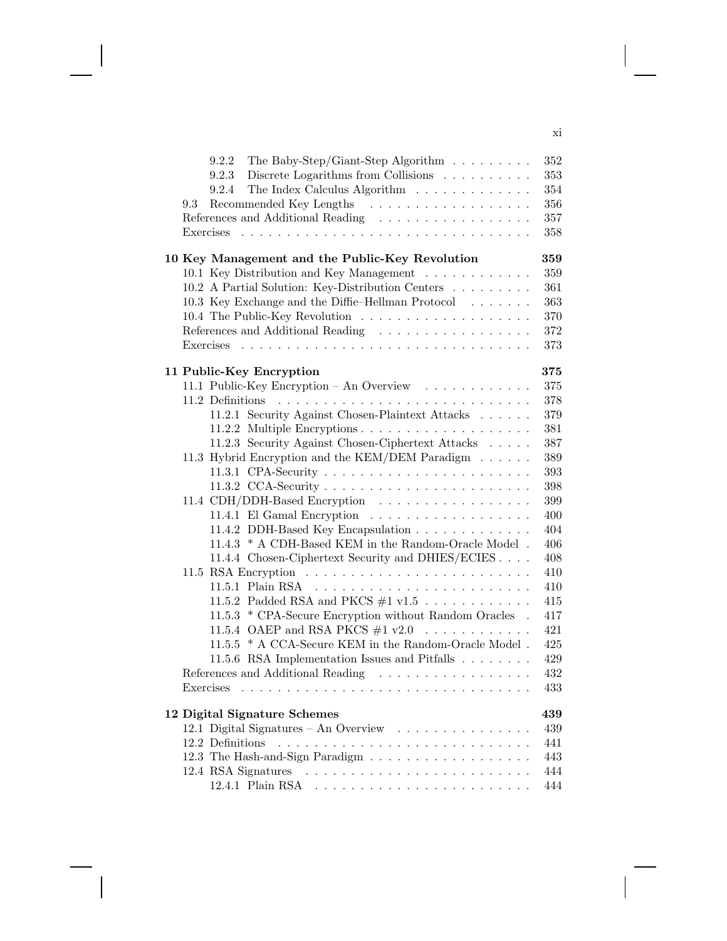| 9.2.2<br>The Baby-Step/Giant-Step Algorithm $\ldots \ldots \ldots$ | 352 |
|--------------------------------------------------------------------|-----|
| Discrete Logarithms from Collisions<br>9.2.3                       | 353 |
| The Index Calculus Algorithm<br>9.2.4                              | 354 |
| Recommended Key Lengths<br>9.3                                     | 356 |
| References and Additional Reading                                  | 357 |
|                                                                    |     |
|                                                                    | 358 |
| 10 Key Management and the Public-Key Revolution                    | 359 |
| 10.1 Key Distribution and Key Management                           | 359 |
| 10.2 A Partial Solution: Key-Distribution Centers                  | 361 |
| 10.3 Key Exchange and the Diffie-Hellman Protocol                  | 363 |
|                                                                    | 370 |
| References and Additional Reading                                  | 372 |
|                                                                    | 373 |
|                                                                    |     |
| 11 Public-Key Encryption                                           | 375 |
| 11.1 Public-Key Encryption - An Overview                           | 375 |
|                                                                    | 378 |
| 11.2.1 Security Against Chosen-Plaintext Attacks                   | 379 |
|                                                                    | 381 |
| 11.2.3 Security Against Chosen-Ciphertext Attacks                  | 387 |
| 11.3 Hybrid Encryption and the KEM/DEM Paradigm                    | 389 |
|                                                                    | 393 |
|                                                                    | 398 |
| 11.4 CDH/DDH-Based Encryption                                      | 399 |
|                                                                    | 400 |
| 11.4.2 DDH-Based Key Encapsulation                                 | 404 |
| 11.4.3 * A CDH-Based KEM in the Random-Oracle Model.               | 406 |
| 11.4.4 Chosen-Ciphertext Security and DHIES/ECIES                  | 408 |
|                                                                    |     |
|                                                                    | 410 |
|                                                                    | 410 |
| 11.5.2 Padded RSA and PKCS $\#1$ v1.5                              | 415 |
| 11.5.3 * CPA-Secure Encryption without Random Oracles .            | 417 |
| 11.5.4 OAEP and RSA PKCS $\#1 \text{ v2.0}$                        | 421 |
| $11.5.5$ * A CCA-Secure KEM in the Random-Oracle Model .           | 425 |
| 11.5.6 RSA Implementation Issues and Pitfalls                      | 429 |
| References and Additional Reading                                  | 432 |
| Exercises                                                          | 433 |
| 12 Digital Signature Schemes                                       | 439 |
| 12.1 Digital Signatures - An Overview                              | 439 |
| 12.2 Definitions                                                   |     |
|                                                                    | 441 |
|                                                                    | 443 |
|                                                                    | 444 |
|                                                                    | 444 |

xi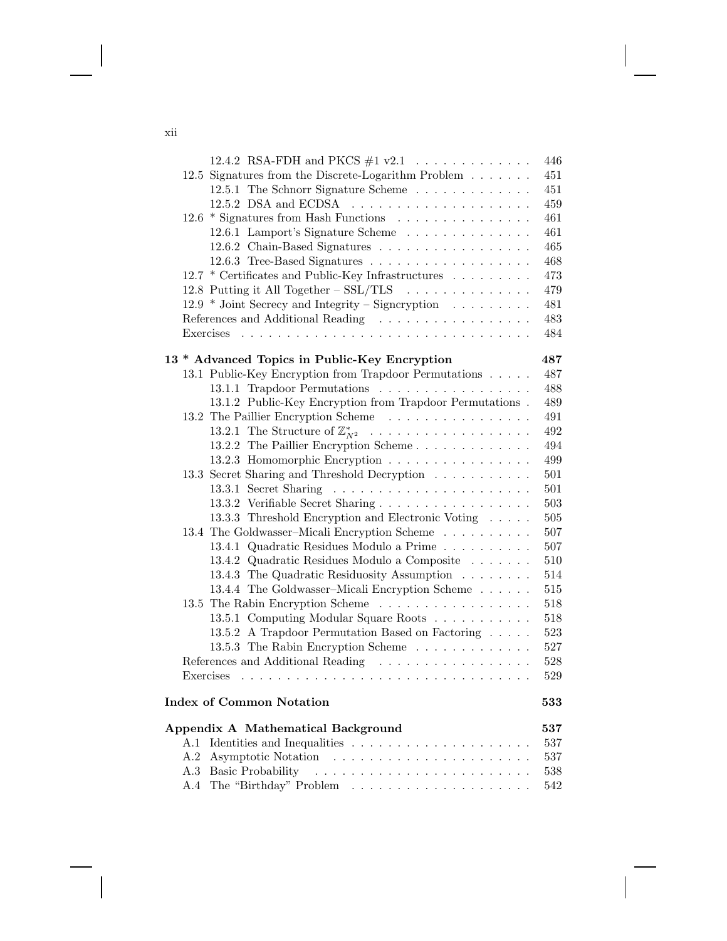|     | 12.4.2 RSA-FDH and PKCS $\#1$ v2.1                                                                                                               | 446     |
|-----|--------------------------------------------------------------------------------------------------------------------------------------------------|---------|
|     | 12.5 Signatures from the Discrete-Logarithm Problem                                                                                              | 451     |
|     | 12.5.1 The Schnorr Signature Scheme                                                                                                              | 451     |
|     |                                                                                                                                                  | 459     |
|     | 12.6 * Signatures from Hash Functions                                                                                                            | 461     |
|     | 12.6.1 Lamport's Signature Scheme                                                                                                                | 461     |
|     |                                                                                                                                                  | 465     |
|     |                                                                                                                                                  | 468     |
|     | 12.7 $\hspace{0.1 cm}^*$ Certificates and Public-Key Infrastructures<br>$\hspace{0.1 cm} \ldots \hspace{0.1 cm} \ldots \hspace{0.1 cm} \ldots$ . | 473     |
|     | 12.8 Putting it All Together $-$ SSL/TLS $\ldots \ldots \ldots \ldots$                                                                           | 479     |
|     | 12.9 * Joint Secrecy and Integrity – Signcryption                                                                                                | 481     |
|     | References and Additional Reading                                                                                                                | 483     |
|     | Exercises                                                                                                                                        | 484     |
|     | 13 * Advanced Topics in Public-Key Encryption                                                                                                    | 487     |
|     | 13.1 Public-Key Encryption from Trapdoor Permutations                                                                                            | 487     |
|     | 13.1.1 Trapdoor Permutations                                                                                                                     | 488     |
|     | 13.1.2 Public-Key Encryption from Trapdoor Permutations.                                                                                         | 489     |
|     | 13.2 The Paillier Encryption Scheme                                                                                                              | 491     |
|     | 13.2.1 The Structure of $\mathbb{Z}_{N^2}^*$                                                                                                     | 492     |
|     | 13.2.2 The Paillier Encryption Scheme                                                                                                            | 494     |
|     | 13.2.3 Homomorphic Encryption                                                                                                                    | 499     |
|     | 13.3 Secret Sharing and Threshold Decryption                                                                                                     | $501\,$ |
|     |                                                                                                                                                  | 501     |
|     | 13.3.2 Verifiable Secret Sharing                                                                                                                 | 503     |
|     | 13.3.3 Threshold Encryption and Electronic Voting                                                                                                | 505     |
|     | 13.4 The Goldwasser-Micali Encryption Scheme                                                                                                     | 507     |
|     | 13.4.1 Quadratic Residues Modulo a Prime                                                                                                         | 507     |
|     | 13.4.2 Quadratic Residues Modulo a Composite                                                                                                     | 510     |
|     | 13.4.3 The Quadratic Residuosity Assumption                                                                                                      | 514     |
|     | 13.4.4 The Goldwasser-Micali Encryption Scheme                                                                                                   | 515     |
|     | 13.5 The Rabin Encryption Scheme                                                                                                                 | 518     |
|     | 13.5.1 Computing Modular Square Roots                                                                                                            | 518     |
|     | 13.5.2 A Trapdoor Permutation Based on Factoring                                                                                                 | 523     |
|     | 13.5.3 The Rabin Encryption Scheme                                                                                                               | $527\,$ |
|     | References and Additional Reading                                                                                                                | 528     |
|     |                                                                                                                                                  | 529     |
|     | <b>Index of Common Notation</b>                                                                                                                  | 533     |
|     | Appendix A Mathematical Background                                                                                                               | 537     |
| A.1 |                                                                                                                                                  | 537     |
| A.2 |                                                                                                                                                  | 537     |
| A.3 | Basic Probability                                                                                                                                | 538     |
| A.4 |                                                                                                                                                  | 542     |

xii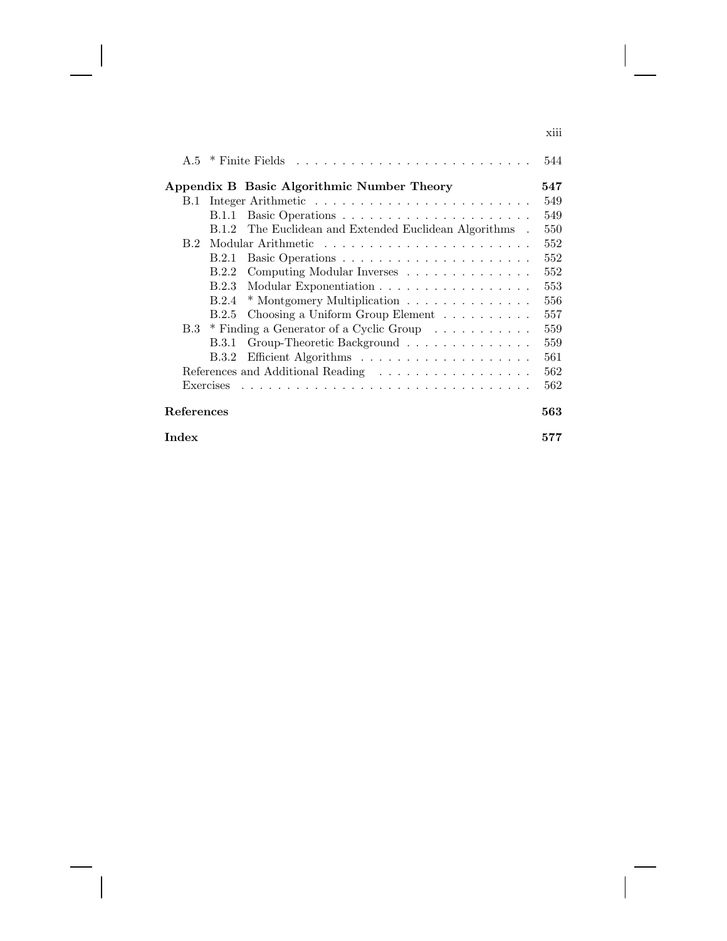| A.5          |                   |                                                         | 544 |  |
|--------------|-------------------|---------------------------------------------------------|-----|--|
|              |                   | Appendix B Basic Algorithmic Number Theory              | 547 |  |
| B.1          |                   |                                                         | 549 |  |
|              | B.1.1             |                                                         | 549 |  |
|              | B 1 2             | The Euclidean and Extended Euclidean Algorithms .       | 550 |  |
| B.2          |                   |                                                         | 552 |  |
|              | B.2.1             |                                                         | 552 |  |
|              | B.2.2             | Computing Modular Inverses                              | 552 |  |
|              | B.2.3             | Modular Exponentiation                                  | 553 |  |
|              | B.2.4             | * Montgomery Multiplication                             | 556 |  |
|              | B.2.5             | Choosing a Uniform Group Element $\ldots \ldots \ldots$ | 557 |  |
|              |                   | B.3 * Finding a Generator of a Cyclic Group             | 559 |  |
|              | B.3.1             | Group-Theoretic Background                              | 559 |  |
|              | B.3.2             |                                                         | 561 |  |
|              |                   | References and Additional Reading                       | 562 |  |
|              | Exercises         |                                                         | 562 |  |
|              | References<br>563 |                                                         |     |  |
| Index<br>577 |                   |                                                         |     |  |

xiii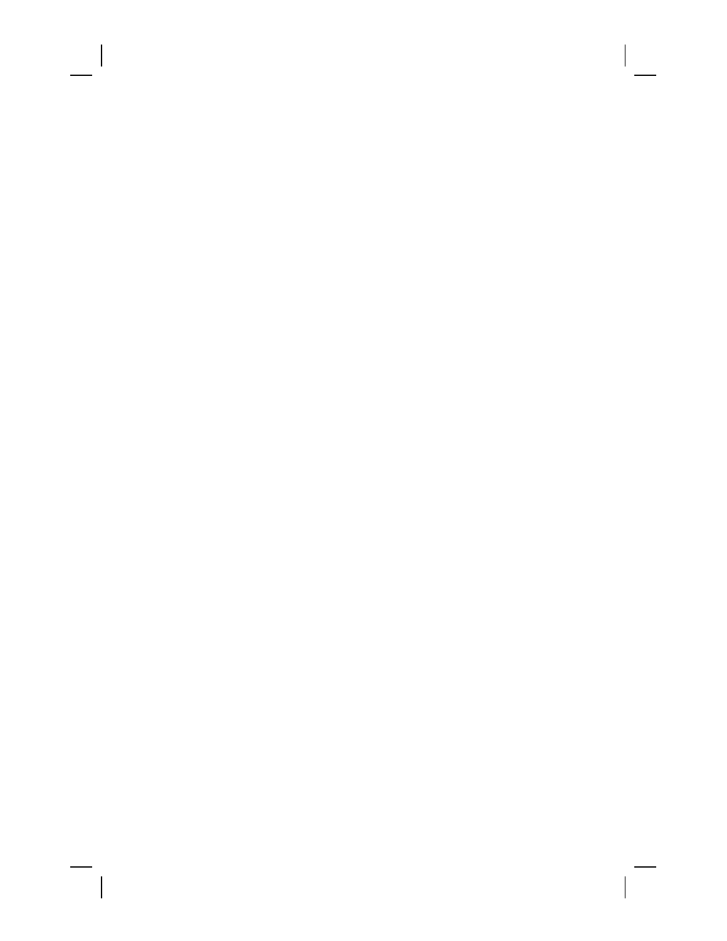$\vert$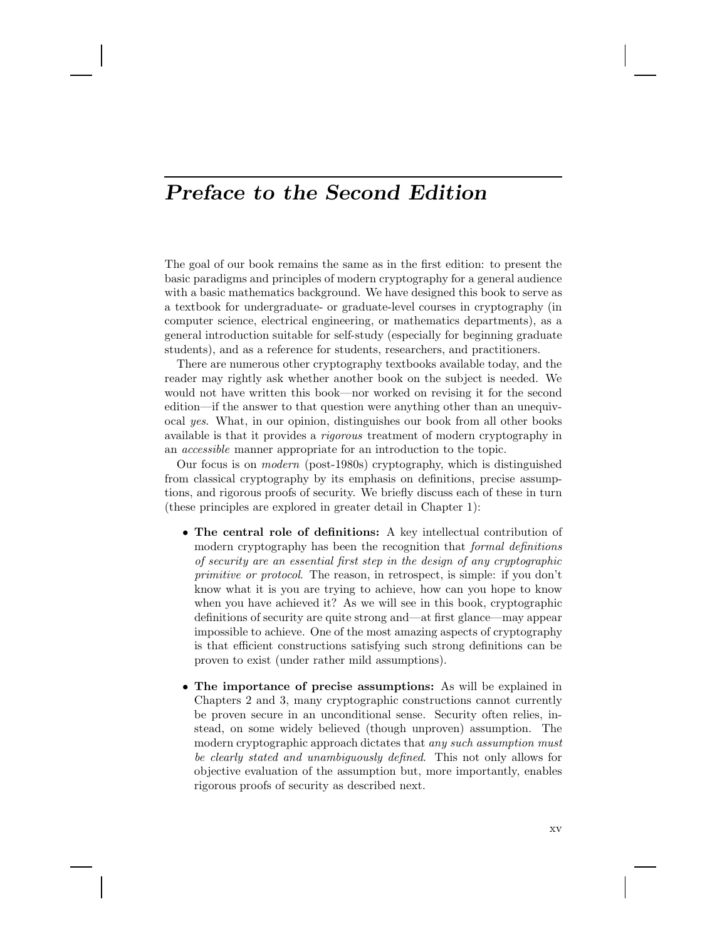## Preface to the Second Edition

The goal of our book remains the same as in the first edition: to present the basic paradigms and principles of modern cryptography for a general audience with a basic mathematics background. We have designed this book to serve as a textbook for undergraduate- or graduate-level courses in cryptography (in computer science, electrical engineering, or mathematics departments), as a general introduction suitable for self-study (especially for beginning graduate students), and as a reference for students, researchers, and practitioners.

There are numerous other cryptography textbooks available today, and the reader may rightly ask whether another book on the subject is needed. We would not have written this book—nor worked on revising it for the second edition—if the answer to that question were anything other than an unequivocal yes. What, in our opinion, distinguishes our book from all other books available is that it provides a rigorous treatment of modern cryptography in an accessible manner appropriate for an introduction to the topic.

Our focus is on modern (post-1980s) cryptography, which is distinguished from classical cryptography by its emphasis on definitions, precise assumptions, and rigorous proofs of security. We briefly discuss each of these in turn (these principles are explored in greater detail in Chapter 1):

- The central role of definitions: A key intellectual contribution of modern cryptography has been the recognition that *formal definitions* of security are an essential first step in the design of any cryptographic primitive or protocol. The reason, in retrospect, is simple: if you don't know what it is you are trying to achieve, how can you hope to know when you have achieved it? As we will see in this book, cryptographic definitions of security are quite strong and—at first glance—may appear impossible to achieve. One of the most amazing aspects of cryptography is that efficient constructions satisfying such strong definitions can be proven to exist (under rather mild assumptions).
- The importance of precise assumptions: As will be explained in Chapters 2 and 3, many cryptographic constructions cannot currently be proven secure in an unconditional sense. Security often relies, instead, on some widely believed (though unproven) assumption. The modern cryptographic approach dictates that any such assumption must be clearly stated and unambiguously defined. This not only allows for objective evaluation of the assumption but, more importantly, enables rigorous proofs of security as described next.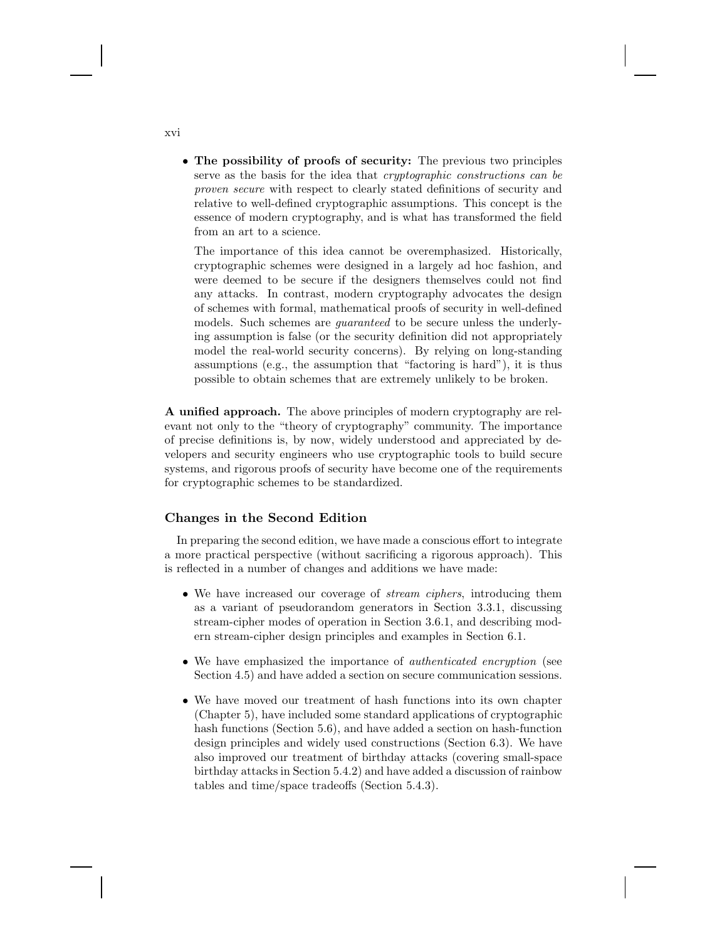• The possibility of proofs of security: The previous two principles serve as the basis for the idea that cryptographic constructions can be proven secure with respect to clearly stated definitions of security and relative to well-defined cryptographic assumptions. This concept is the essence of modern cryptography, and is what has transformed the field from an art to a science.

The importance of this idea cannot be overemphasized. Historically, cryptographic schemes were designed in a largely ad hoc fashion, and were deemed to be secure if the designers themselves could not find any attacks. In contrast, modern cryptography advocates the design of schemes with formal, mathematical proofs of security in well-defined models. Such schemes are *quaranteed* to be secure unless the underlying assumption is false (or the security definition did not appropriately model the real-world security concerns). By relying on long-standing assumptions (e.g., the assumption that "factoring is hard"), it is thus possible to obtain schemes that are extremely unlikely to be broken.

A unified approach. The above principles of modern cryptography are relevant not only to the "theory of cryptography" community. The importance of precise definitions is, by now, widely understood and appreciated by developers and security engineers who use cryptographic tools to build secure systems, and rigorous proofs of security have become one of the requirements for cryptographic schemes to be standardized.

#### Changes in the Second Edition

In preparing the second edition, we have made a conscious effort to integrate a more practical perspective (without sacrificing a rigorous approach). This is reflected in a number of changes and additions we have made:

- We have increased our coverage of *stream ciphers*, introducing them as a variant of pseudorandom generators in Section 3.3.1, discussing stream-cipher modes of operation in Section 3.6.1, and describing modern stream-cipher design principles and examples in Section 6.1.
- We have emphasized the importance of *authenticated encryption* (see Section 4.5) and have added a section on secure communication sessions.
- We have moved our treatment of hash functions into its own chapter (Chapter 5), have included some standard applications of cryptographic hash functions (Section 5.6), and have added a section on hash-function design principles and widely used constructions (Section 6.3). We have also improved our treatment of birthday attacks (covering small-space birthday attacks in Section 5.4.2) and have added a discussion of rainbow tables and time/space tradeoffs (Section 5.4.3).

xvi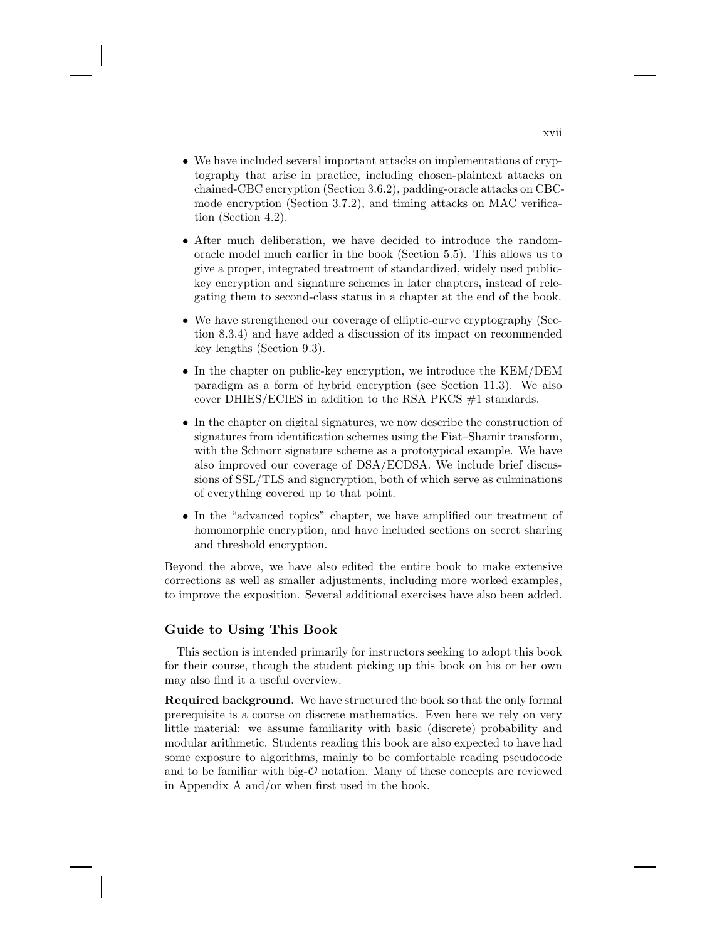- We have included several important attacks on implementations of cryptography that arise in practice, including chosen-plaintext attacks on chained-CBC encryption (Section 3.6.2), padding-oracle attacks on CBCmode encryption (Section 3.7.2), and timing attacks on MAC verification (Section 4.2).
- After much deliberation, we have decided to introduce the randomoracle model much earlier in the book (Section 5.5). This allows us to give a proper, integrated treatment of standardized, widely used publickey encryption and signature schemes in later chapters, instead of relegating them to second-class status in a chapter at the end of the book.
- We have strengthened our coverage of elliptic-curve cryptography (Section 8.3.4) and have added a discussion of its impact on recommended key lengths (Section 9.3).
- In the chapter on public-key encryption, we introduce the KEM/DEM paradigm as a form of hybrid encryption (see Section 11.3). We also cover DHIES/ECIES in addition to the RSA PKCS #1 standards.
- In the chapter on digital signatures, we now describe the construction of signatures from identification schemes using the Fiat–Shamir transform, with the Schnorr signature scheme as a prototypical example. We have also improved our coverage of DSA/ECDSA. We include brief discussions of SSL/TLS and signcryption, both of which serve as culminations of everything covered up to that point.
- In the "advanced topics" chapter, we have amplified our treatment of homomorphic encryption, and have included sections on secret sharing and threshold encryption.

Beyond the above, we have also edited the entire book to make extensive corrections as well as smaller adjustments, including more worked examples, to improve the exposition. Several additional exercises have also been added.

#### Guide to Using This Book

This section is intended primarily for instructors seeking to adopt this book for their course, though the student picking up this book on his or her own may also find it a useful overview.

Required background. We have structured the book so that the only formal prerequisite is a course on discrete mathematics. Even here we rely on very little material: we assume familiarity with basic (discrete) probability and modular arithmetic. Students reading this book are also expected to have had some exposure to algorithms, mainly to be comfortable reading pseudocode and to be familiar with big- $\mathcal O$  notation. Many of these concepts are reviewed in Appendix A and/or when first used in the book.

xvii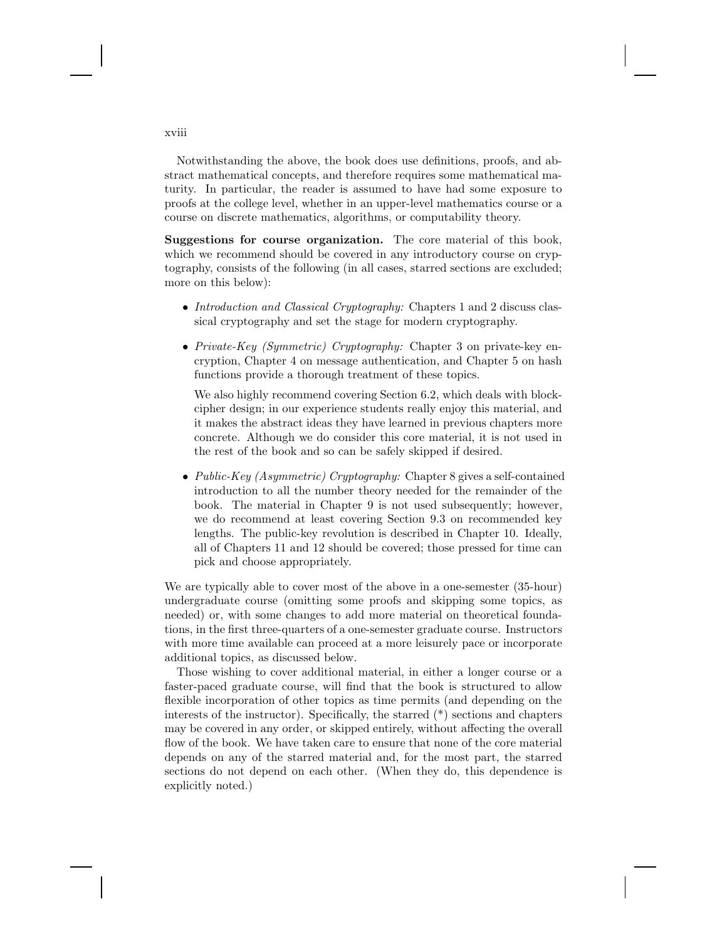Notwithstanding the above, the book does use definitions, proofs, and abstract mathematical concepts, and therefore requires some mathematical maturity. In particular, the reader is assumed to have had some exposure to proofs at the college level, whether in an upper-level mathematics course or a course on discrete mathematics, algorithms, or computability theory.

Suggestions for course organization. The core material of this book, which we recommend should be covered in any introductory course on cryptography, consists of the following (in all cases, starred sections are excluded; more on this below):

- Introduction and Classical Cryptography: Chapters 1 and 2 discuss classical cryptography and set the stage for modern cryptography.
- Private-Key (Symmetric) Cryptography: Chapter 3 on private-key encryption, Chapter 4 on message authentication, and Chapter 5 on hash functions provide a thorough treatment of these topics.

We also highly recommend covering Section 6.2, which deals with blockcipher design; in our experience students really enjoy this material, and it makes the abstract ideas they have learned in previous chapters more concrete. Although we do consider this core material, it is not used in the rest of the book and so can be safely skipped if desired.

• Public-Key (Asymmetric) Cryptography: Chapter 8 gives a self-contained introduction to all the number theory needed for the remainder of the book. The material in Chapter 9 is not used subsequently; however, we do recommend at least covering Section 9.3 on recommended key lengths. The public-key revolution is described in Chapter 10. Ideally, all of Chapters 11 and 12 should be covered; those pressed for time can pick and choose appropriately.

We are typically able to cover most of the above in a one-semester (35-hour) undergraduate course (omitting some proofs and skipping some topics, as needed) or, with some changes to add more material on theoretical foundations, in the first three-quarters of a one-semester graduate course. Instructors with more time available can proceed at a more leisurely pace or incorporate additional topics, as discussed below.

Those wishing to cover additional material, in either a longer course or a faster-paced graduate course, will find that the book is structured to allow flexible incorporation of other topics as time permits (and depending on the interests of the instructor). Specifically, the starred (\*) sections and chapters may be covered in any order, or skipped entirely, without affecting the overall flow of the book. We have taken care to ensure that none of the core material depends on any of the starred material and, for the most part, the starred sections do not depend on each other. (When they do, this dependence is explicitly noted.)

xviii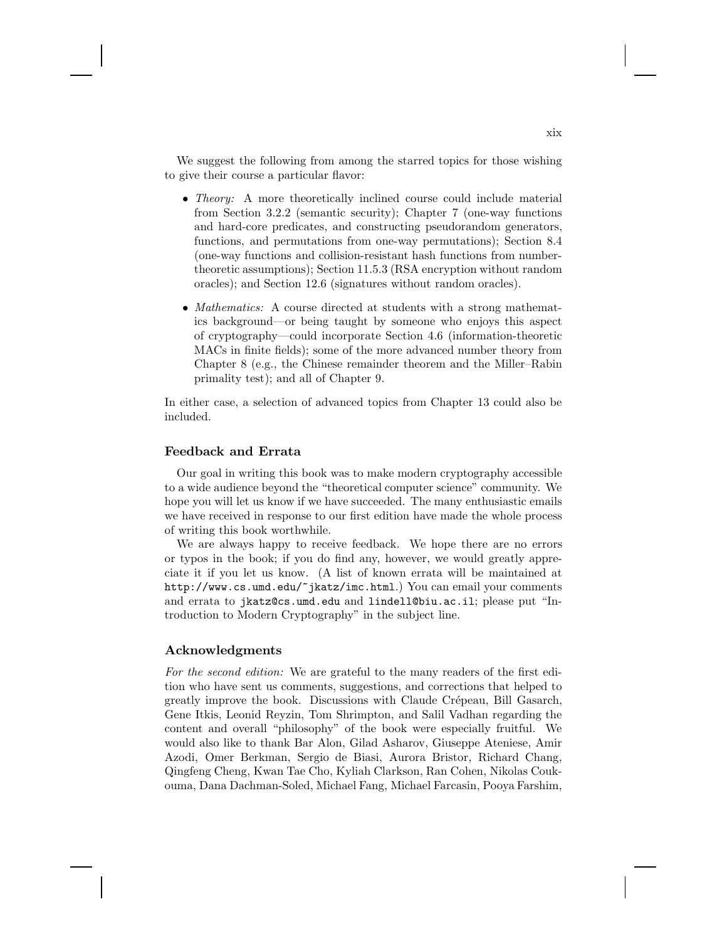We suggest the following from among the starred topics for those wishing to give their course a particular flavor:

- Theory: A more theoretically inclined course could include material from Section 3.2.2 (semantic security); Chapter 7 (one-way functions and hard-core predicates, and constructing pseudorandom generators, functions, and permutations from one-way permutations); Section 8.4 (one-way functions and collision-resistant hash functions from numbertheoretic assumptions); Section 11.5.3 (RSA encryption without random oracles); and Section 12.6 (signatures without random oracles).
- Mathematics: A course directed at students with a strong mathematics background—or being taught by someone who enjoys this aspect of cryptography—could incorporate Section 4.6 (information-theoretic MACs in finite fields); some of the more advanced number theory from Chapter 8 (e.g., the Chinese remainder theorem and the Miller–Rabin primality test); and all of Chapter 9.

In either case, a selection of advanced topics from Chapter 13 could also be included.

#### Feedback and Errata

Our goal in writing this book was to make modern cryptography accessible to a wide audience beyond the "theoretical computer science" community. We hope you will let us know if we have succeeded. The many enthusiastic emails we have received in response to our first edition have made the whole process of writing this book worthwhile.

We are always happy to receive feedback. We hope there are no errors or typos in the book; if you do find any, however, we would greatly appreciate it if you let us know. (A list of known errata will be maintained at http://www.cs.umd.edu/~jkatz/imc.html.) You can email your comments and errata to jkatz@cs.umd.edu and lindell@biu.ac.il; please put "Introduction to Modern Cryptography" in the subject line.

#### Acknowledgments

For the second edition: We are grateful to the many readers of the first edition who have sent us comments, suggestions, and corrections that helped to greatly improve the book. Discussions with Claude Crépeau, Bill Gasarch, Gene Itkis, Leonid Reyzin, Tom Shrimpton, and Salil Vadhan regarding the content and overall "philosophy" of the book were especially fruitful. We would also like to thank Bar Alon, Gilad Asharov, Giuseppe Ateniese, Amir Azodi, Omer Berkman, Sergio de Biasi, Aurora Bristor, Richard Chang, Qingfeng Cheng, Kwan Tae Cho, Kyliah Clarkson, Ran Cohen, Nikolas Coukouma, Dana Dachman-Soled, Michael Fang, Michael Farcasin, Pooya Farshim,

xix